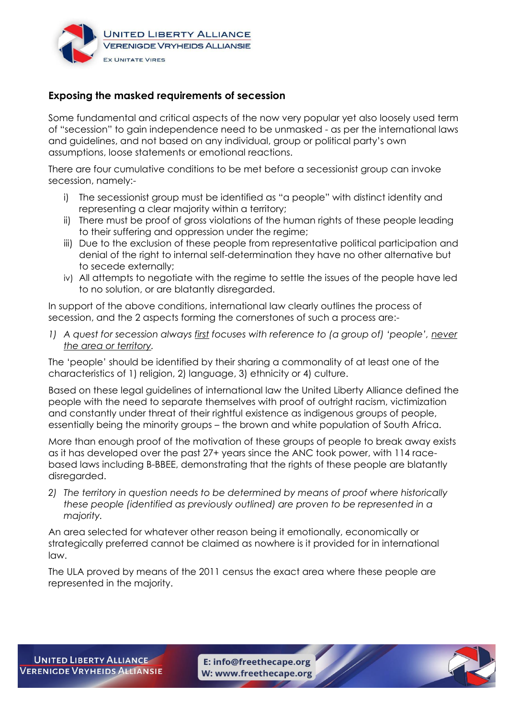

## **Exposing the masked requirements of secession**

Some fundamental and critical aspects of the now very popular yet also loosely used term of "secession" to gain independence need to be unmasked - as per the international laws and guidelines, and not based on any individual, group or political party's own assumptions, loose statements or emotional reactions.

There are four cumulative conditions to be met before a secessionist group can invoke secession, namely:-

- i) The secessionist group must be identified as "a people" with distinct identity and representing a clear majority within a territory;
- ii) There must be proof of gross violations of the human rights of these people leading to their suffering and oppression under the regime;
- iii) Due to the exclusion of these people from representative political participation and denial of the right to internal self-determination they have no other alternative but to secede externally;
- iv) All attempts to negotiate with the regime to settle the issues of the people have led to no solution, or are blatantly disregarded.

In support of the above conditions, international law clearly outlines the process of secession, and the 2 aspects forming the cornerstones of such a process are:-

*1) A quest for secession always first focuses with reference to (a group of) 'people', never the area or territory.*

The 'people' should be identified by their sharing a commonality of at least one of the characteristics of 1) religion, 2) language, 3) ethnicity or 4) culture.

Based on these legal guidelines of international law the United Liberty Alliance defined the people with the need to separate themselves with proof of outright racism, victimization and constantly under threat of their rightful existence as indigenous groups of people, essentially being the minority groups – the brown and white population of South Africa.

More than enough proof of the motivation of these groups of people to break away exists as it has developed over the past 27+ years since the ANC took power, with 114 racebased laws including B-BBEE, demonstrating that the rights of these people are blatantly disregarded.

*2) The territory in question needs to be determined by means of proof where historically these people (identified as previously outlined) are proven to be represented in a majority.* 

An area selected for whatever other reason being it emotionally, economically or strategically preferred cannot be claimed as nowhere is it provided for in international law.

The ULA proved by means of the 2011 census the exact area where these people are represented in the majority.

E: info@freethecape.org W: www.freethecape.org